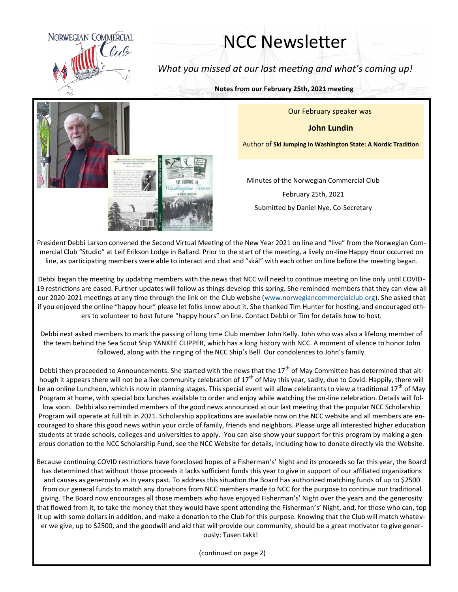

## NCC Newsletter

*What you missed at our last meeting and what's coming up!*

**Notes from our February 25th, 2021 meeting**

Our February speaker was

**John Lundin**

Author of **Ski Jumping in Washington State: A Nordic Tradition**



Minutes of the Norwegian Commercial Club

February 25th, 2021 Submitted by Daniel Nye, Co-Secretary

President Debbi Larson convened the Second Virtual Meeting of the New Year 2021 on line and "live" from the Norwegian Commercial Club "Studio" at Leif Erikson Lodge in Ballard. Prior to the start of the meeting, a lively on-line Happy Hour occurred on line, as participating members were able to interact and chat and "skål" with each other on line before the meeting began.

Debbi began the meeting by updating members with the news that NCC will need to continue meeting on line only until COVID-19 restrictions are eased. Further updates will follow as things develop this spring. She reminded members that they can view all our 2020-2021 meetings at any time through the link on the Club website ([www.norwegiancommercialclub.org\).](http://www.norwegiancommercialclub.org/) She asked that if you enjoyed the online "happy hour" please let folks know about it. She thanked Tim Hunter for hosting, and encouraged others to volunteer to host future "happy hours" on line. Contact Debbi or Tim for details how to host.

Debbi next asked members to mark the passing of long time Club member John Kelly. John who was also a lifelong member of the team behind the Sea Scout Ship YANKEE CLIPPER, which has a long history with NCC. A moment of silence to honor John followed, along with the ringing of the NCC Ship's Bell. Our condolences to John's family.

Debbi then proceeded to Announcements. She started with the news that the 17<sup>th</sup> of May Committee has determined that although it appears there will not be a live community celebration of 17<sup>th</sup> of May this year, sadly, due to Covid. Happily, there will be an online Luncheon, which is now in planning stages. This special event will allow celebrants to view a traditional 17<sup>th</sup> of May Program at home, with special box lunches available to order and enjoy while watching the on-line celebration. Details will follow soon. Debbi also reminded members of the good news announced at our last meeting that the popular NCC Scholarship Program will operate at full tilt in 2021. Scholarship applications are available now on the NCC website and all members are encouraged to share this good news within your circle of family, friends and neighbors. Please urge all interested higher education students at trade schools, colleges and universities to apply. You can also show your support for this program by making a generous donation to the NCC Scholarship Fund, see the NCC Website for details, including how to donate directly via the Website.

Because continuing COVID restrictions have foreclosed hopes of a Fisherman's' Night and its proceeds so far this year, the Board has determined that without those proceeds it lacks sufficient funds this year to give in support of our affiliated organizations and causes as generously as in years past. To address this situation the Board has authorized matching funds of up to \$2500 from our general funds to match any donations from NCC members made to NCC for the purpose to continue our traditional giving. The Board now encourages all those members who have enjoyed Fisherman's' Night over the years and the generosity that flowed from it, to take the money that they would have spent attending the Fisherman's' Night, and, for those who can, top it up with some dollars in addition, and make a donation to the Club for this purpose. Knowing that the Club will match whatever we give, up to \$2500, and the goodwill and aid that will provide our community, should be a great motivator to give generously: Tusen takk!

(continued on page 2)